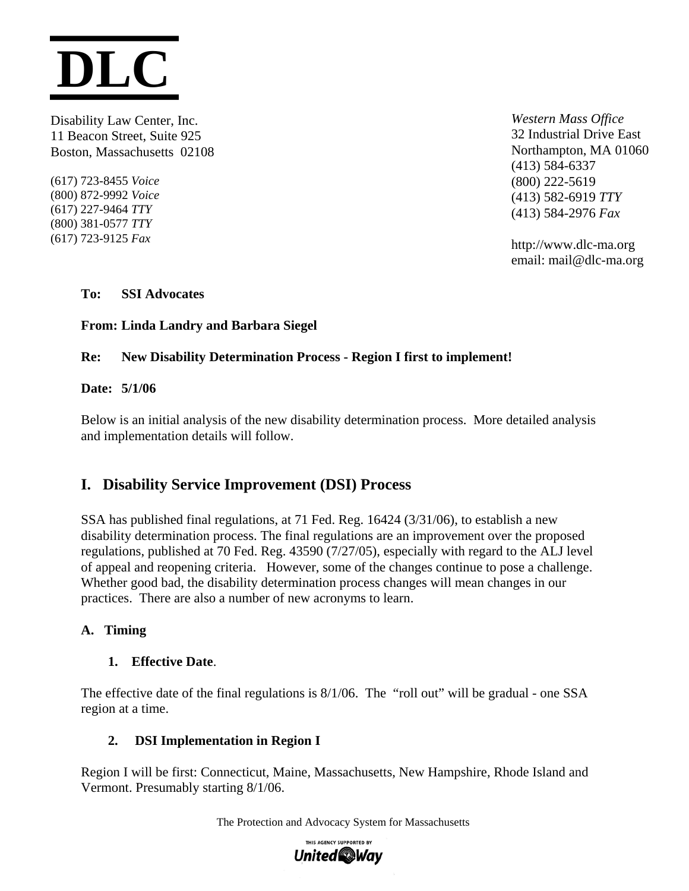

Disability Law Center, Inc. *Western Mass Office*  11 Beacon Street, Suite 925 32 Industrial Drive East Boston, Massachusetts 02108 northampton, MA 01060

(617) 723-8455 *Voice* (800) 222-5619 (800) 381-0577 *TTY* 

(413) 584-6337 (800) 872-9992 *Voice* (413) 582-6919 *TTY*  (617) 227-9464 *TTY* (413) 584-2976 *Fax* 

(617) 723-9125 *Fax* http://www.dlc-ma.org email: mail@dlc-ma.org

**To: SSI Advocates** 

**From: Linda Landry and Barbara Siegel** 

# **Re: New Disability Determination Process - Region I first to implement!**

#### **Date: 5/1/06**

Below is an initial analysis of the new disability determination process. More detailed analysis and implementation details will follow.

# **I. Disability Service Improvement (DSI) Process**

SSA has published final regulations, at 71 Fed. Reg. 16424 (3/31/06), to establish a new disability determination process. The final regulations are an improvement over the proposed regulations, published at 70 Fed. Reg. 43590 (7/27/05), especially with regard to the ALJ level of appeal and reopening criteria. However, some of the changes continue to pose a challenge. Whether good bad, the disability determination process changes will mean changes in our practices. There are also a number of new acronyms to learn.

# **A. Timing**

# **1. Effective Date**.

The effective date of the final regulations is 8/1/06. The "roll out" will be gradual - one SSA region at a time.

# **2. DSI Implementation in Region I**

Region I will be first: Connecticut, Maine, Massachusetts, New Hampshire, Rhode Island and Vermont. Presumably starting 8/1/06.

The Protection and Advocacy System for Massachusetts

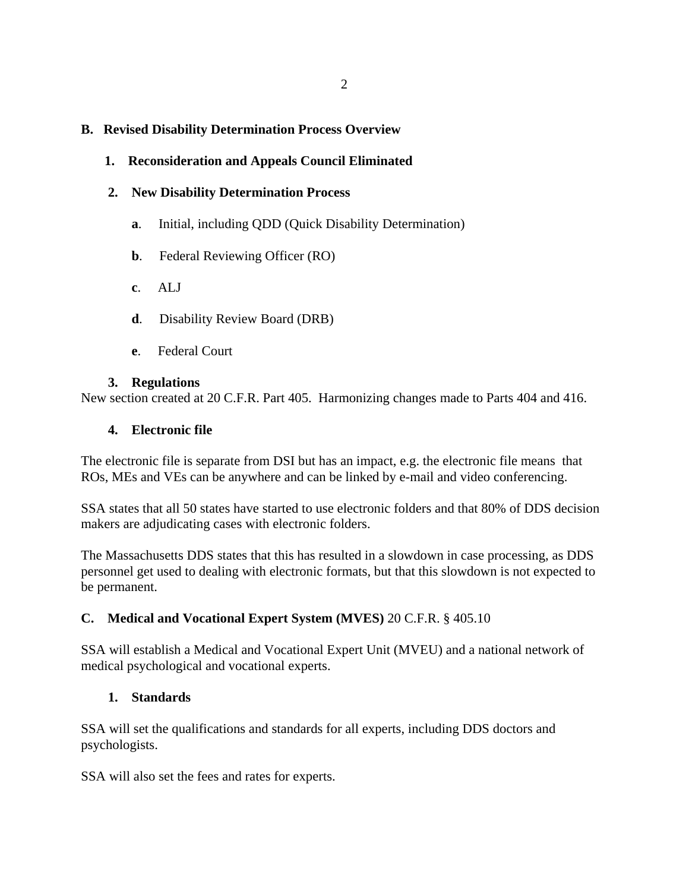#### **B. Revised Disability Determination Process Overview**

## **1. Reconsideration and Appeals Council Eliminated**

#### **2. New Disability Determination Process**

- **a**. Initial, including QDD (Quick Disability Determination)
- **b**. Federal Reviewing Officer (RO)
- **c**. ALJ
- **d**. Disability Review Board (DRB)
- **e**. Federal Court

#### **3. Regulations**

New section created at 20 C.F.R. Part 405. Harmonizing changes made to Parts 404 and 416.

#### **4. Electronic file**

The electronic file is separate from DSI but has an impact, e.g. the electronic file means that ROs, MEs and VEs can be anywhere and can be linked by e-mail and video conferencing.

SSA states that all 50 states have started to use electronic folders and that 80% of DDS decision makers are adjudicating cases with electronic folders.

The Massachusetts DDS states that this has resulted in a slowdown in case processing, as DDS personnel get used to dealing with electronic formats, but that this slowdown is not expected to be permanent.

# **C. Medical and Vocational Expert System (MVES)** 20 C.F.R. § 405.10

SSA will establish a Medical and Vocational Expert Unit (MVEU) and a national network of medical psychological and vocational experts.

# **1. Standards**

SSA will set the qualifications and standards for all experts, including DDS doctors and psychologists.

SSA will also set the fees and rates for experts.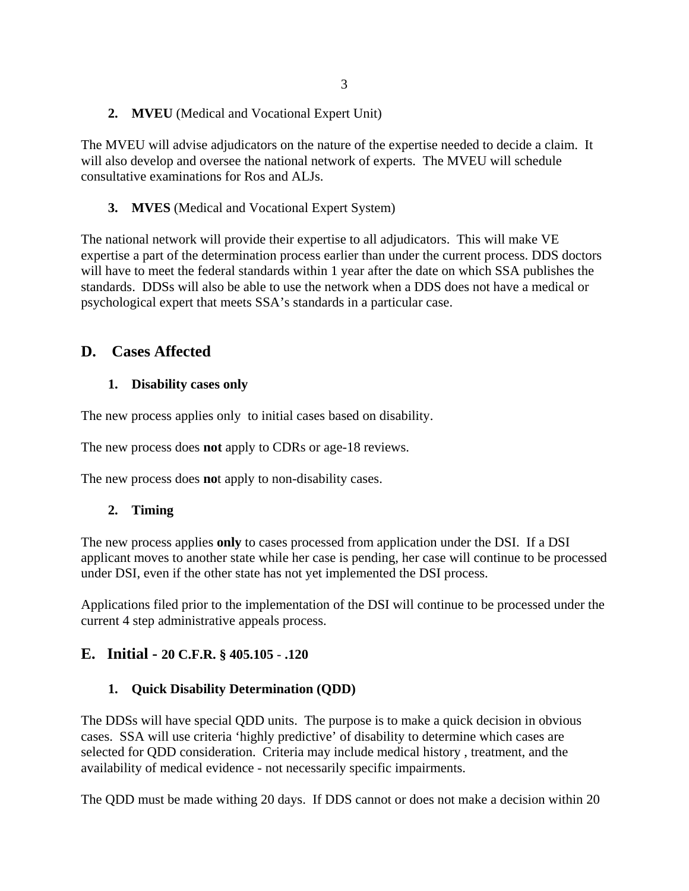# **2. MVEU** (Medical and Vocational Expert Unit)

The MVEU will advise adjudicators on the nature of the expertise needed to decide a claim. It will also develop and oversee the national network of experts. The MVEU will schedule consultative examinations for Ros and ALJs.

# **3. MVES** (Medical and Vocational Expert System)

The national network will provide their expertise to all adjudicators. This will make VE expertise a part of the determination process earlier than under the current process. DDS doctors will have to meet the federal standards within 1 year after the date on which SSA publishes the standards. DDSs will also be able to use the network when a DDS does not have a medical or psychological expert that meets SSA's standards in a particular case.

# **D. Cases Affected**

# **1. Disability cases only**

The new process applies only to initial cases based on disability.

The new process does **not** apply to CDRs or age-18 reviews.

The new process does **no**t apply to non-disability cases.

# **2. Timing**

The new process applies **only** to cases processed from application under the DSI. If a DSI applicant moves to another state while her case is pending, her case will continue to be processed under DSI, even if the other state has not yet implemented the DSI process.

Applications filed prior to the implementation of the DSI will continue to be processed under the current 4 step administrative appeals process.

# **E. Initial - 20 C.F.R. § 405.105** - **.120**

# **1. Quick Disability Determination (QDD)**

The DDSs will have special QDD units. The purpose is to make a quick decision in obvious cases. SSA will use criteria 'highly predictive' of disability to determine which cases are selected for QDD consideration. Criteria may include medical history , treatment, and the availability of medical evidence - not necessarily specific impairments.

The QDD must be made withing 20 days. If DDS cannot or does not make a decision within 20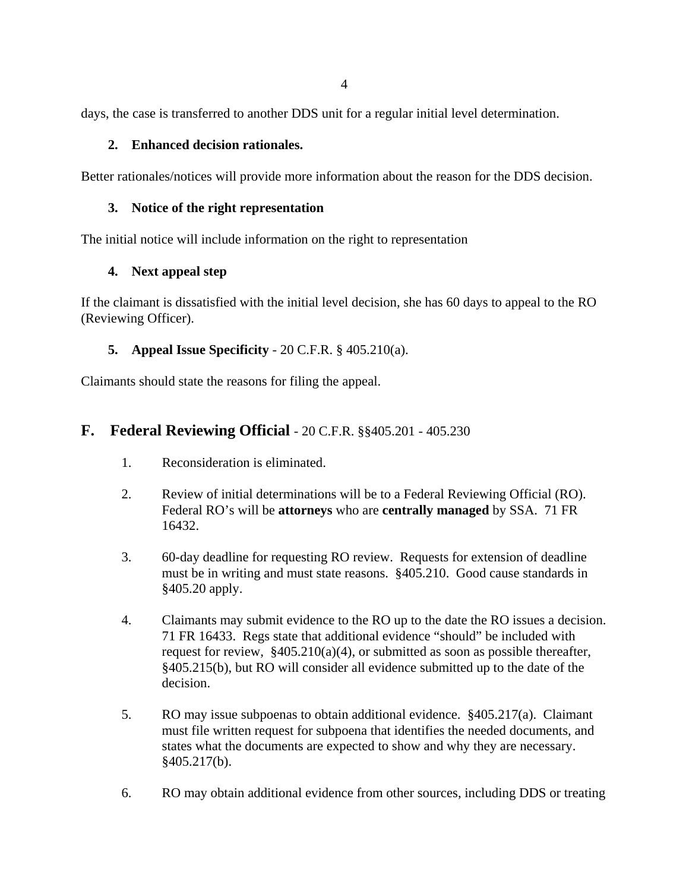days, the case is transferred to another DDS unit for a regular initial level determination.

#### **2. Enhanced decision rationales.**

Better rationales/notices will provide more information about the reason for the DDS decision.

#### **3. Notice of the right representation**

The initial notice will include information on the right to representation

#### **4. Next appeal step**

If the claimant is dissatisfied with the initial level decision, she has 60 days to appeal to the RO (Reviewing Officer).

# **5. Appeal Issue Specificity** - 20 C.F.R. § 405.210(a).

Claimants should state the reasons for filing the appeal.

# **F. Federal Reviewing Official** - 20 C.F.R. §§405.201 - 405.230

- 1. Reconsideration is eliminated.
- 2. Review of initial determinations will be to a Federal Reviewing Official (RO). Federal RO's will be **attorneys** who are **centrally managed** by SSA. 71 FR 16432.
- 3. 60-day deadline for requesting RO review. Requests for extension of deadline must be in writing and must state reasons. §405.210. Good cause standards in §405.20 apply.
- 4. Claimants may submit evidence to the RO up to the date the RO issues a decision. 71 FR 16433. Regs state that additional evidence "should" be included with request for review,  $\frac{$405.210(a)(4)}{9}$ , or submitted as soon as possible thereafter, §405.215(b), but RO will consider all evidence submitted up to the date of the decision.
- 5. RO may issue subpoenas to obtain additional evidence. §405.217(a). Claimant must file written request for subpoena that identifies the needed documents, and states what the documents are expected to show and why they are necessary. §405.217(b).
- 6. RO may obtain additional evidence from other sources, including DDS or treating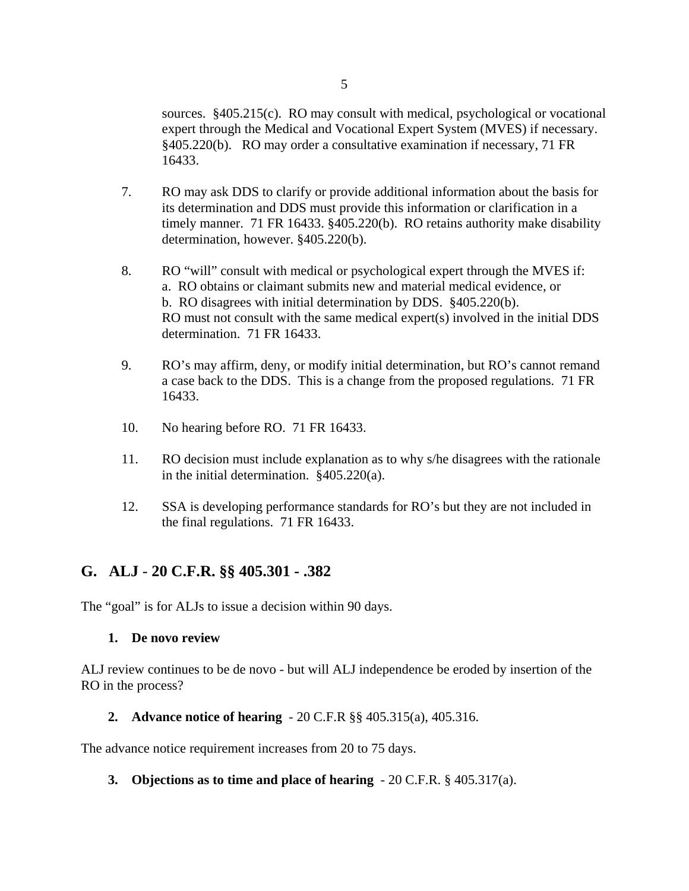sources. §405.215(c). RO may consult with medical, psychological or vocational expert through the Medical and Vocational Expert System (MVES) if necessary. §405.220(b). RO may order a consultative examination if necessary, 71 FR 16433.

- 7. RO may ask DDS to clarify or provide additional information about the basis for its determination and DDS must provide this information or clarification in a timely manner. 71 FR 16433. §405.220(b). RO retains authority make disability determination, however. §405.220(b).
- 8. RO "will" consult with medical or psychological expert through the MVES if: a. RO obtains or claimant submits new and material medical evidence, or b. RO disagrees with initial determination by DDS. §405.220(b). RO must not consult with the same medical expert(s) involved in the initial DDS determination. 71 FR 16433.
- 9. RO's may affirm, deny, or modify initial determination, but RO's cannot remand a case back to the DDS. This is a change from the proposed regulations. 71 FR 16433.
- 10. No hearing before RO. 71 FR 16433.
- 11. RO decision must include explanation as to why s/he disagrees with the rationale in the initial determination. §405.220(a).
- 12. SSA is developing performance standards for RO's but they are not included in the final regulations. 71 FR 16433.

# **G. ALJ** - **20 C.F.R. §§ 405.301 - .382**

The "goal" is for ALJs to issue a decision within 90 days.

#### **1. De novo review**

ALJ review continues to be de novo - but will ALJ independence be eroded by insertion of the RO in the process?

**2. Advance notice of hearing** - 20 C.F.R §§ 405.315(a), 405.316.

The advance notice requirement increases from 20 to 75 days.

**3. Objections as to time and place of hearing** - 20 C.F.R. § 405.317(a).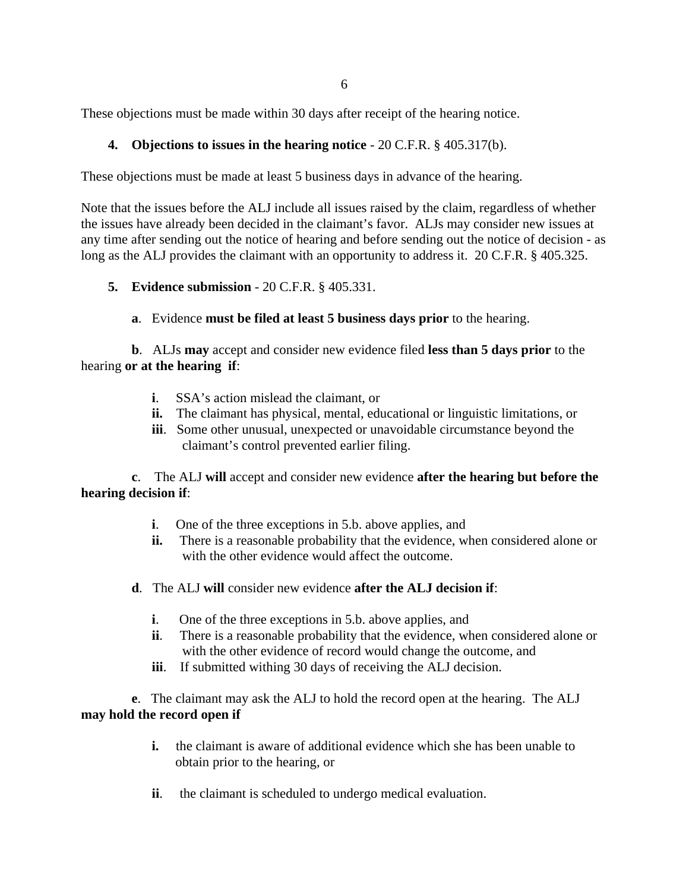These objections must be made within 30 days after receipt of the hearing notice.

## **4. Objections to issues in the hearing notice** - 20 C.F.R. § 405.317(b).

These objections must be made at least 5 business days in advance of the hearing.

Note that the issues before the ALJ include all issues raised by the claim, regardless of whether the issues have already been decided in the claimant's favor. ALJs may consider new issues at any time after sending out the notice of hearing and before sending out the notice of decision - as long as the ALJ provides the claimant with an opportunity to address it. 20 C.F.R. § 405.325.

#### **5. Evidence submission** - 20 C.F.R. § 405.331.

**a**. Evidence **must be filed at least 5 business days prior** to the hearing.

**b**. ALJs **may** accept and consider new evidence filed **less than 5 days prior** to the hearing **or at the hearing if**:

- **i**. SSA's action mislead the claimant, or
- **ii.** The claimant has physical, mental, educational or linguistic limitations, or
- **iii**. Some other unusual, unexpected or unavoidable circumstance beyond the claimant's control prevented earlier filing.

**c**. The ALJ **will** accept and consider new evidence **after the hearing but before the hearing decision if**:

- **i**. One of the three exceptions in 5.b. above applies, and
- **ii.** There is a reasonable probability that the evidence, when considered alone or with the other evidence would affect the outcome.
- **d**. The ALJ **will** consider new evidence **after the ALJ decision if**:
	- **i**. One of the three exceptions in 5.b. above applies, and
	- **ii**. There is a reasonable probability that the evidence, when considered alone or with the other evidence of record would change the outcome, and
	- **iii**. If submitted withing 30 days of receiving the ALJ decision.

**e**. The claimant may ask the ALJ to hold the record open at the hearing. The ALJ **may hold the record open if**

- **i.** the claimant is aware of additional evidence which she has been unable to obtain prior to the hearing, or
- **ii**. the claimant is scheduled to undergo medical evaluation.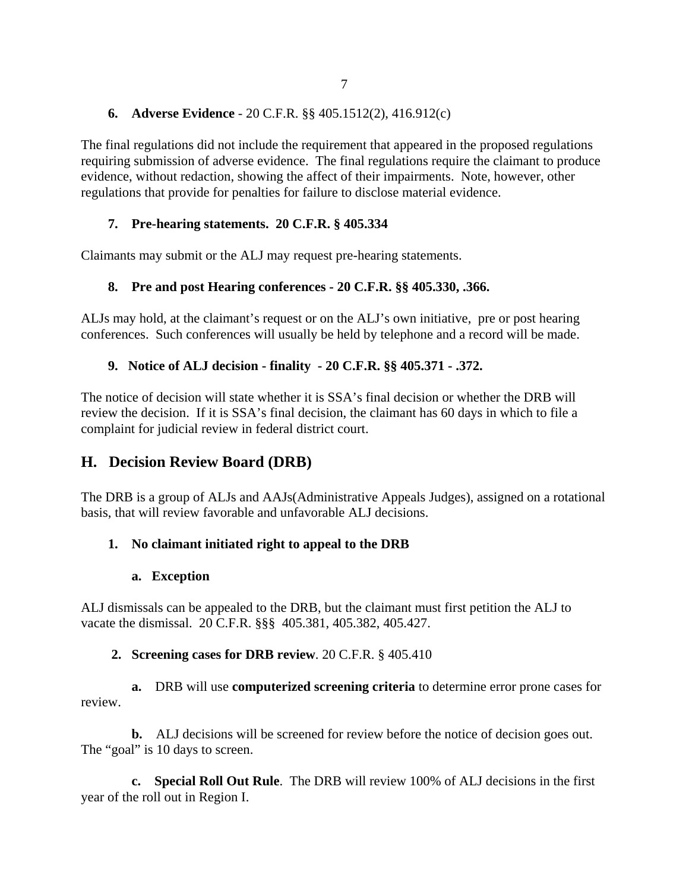# **6. Adverse Evidence** - 20 C.F.R. §§ 405.1512(2), 416.912(c)

The final regulations did not include the requirement that appeared in the proposed regulations requiring submission of adverse evidence. The final regulations require the claimant to produce evidence, without redaction, showing the affect of their impairments. Note, however, other regulations that provide for penalties for failure to disclose material evidence.

# **7. Pre-hearing statements. 20 C.F.R. § 405.334**

Claimants may submit or the ALJ may request pre-hearing statements.

# **8. Pre and post Hearing conferences - 20 C.F.R. §§ 405.330, .366.**

ALJs may hold, at the claimant's request or on the ALJ's own initiative, pre or post hearing conferences. Such conferences will usually be held by telephone and a record will be made.

# **9. Notice of ALJ decision - finality - 20 C.F.R. §§ 405.371 - .372.**

The notice of decision will state whether it is SSA's final decision or whether the DRB will review the decision. If it is SSA's final decision, the claimant has 60 days in which to file a complaint for judicial review in federal district court.

# **H. Decision Review Board (DRB)**

The DRB is a group of ALJs and AAJs(Administrative Appeals Judges), assigned on a rotational basis, that will review favorable and unfavorable ALJ decisions.

# **1. No claimant initiated right to appeal to the DRB**

# **a. Exception**

ALJ dismissals can be appealed to the DRB, but the claimant must first petition the ALJ to vacate the dismissal. 20 C.F.R. §§§ 405.381, 405.382, 405.427.

# **2. Screening cases for DRB review**. 20 C.F.R. § 405.410

**a.** DRB will use **computerized screening criteria** to determine error prone cases for review.

**b.** ALJ decisions will be screened for review before the notice of decision goes out. The "goal" is 10 days to screen.

**c. Special Roll Out Rule**. The DRB will review 100% of ALJ decisions in the first year of the roll out in Region I.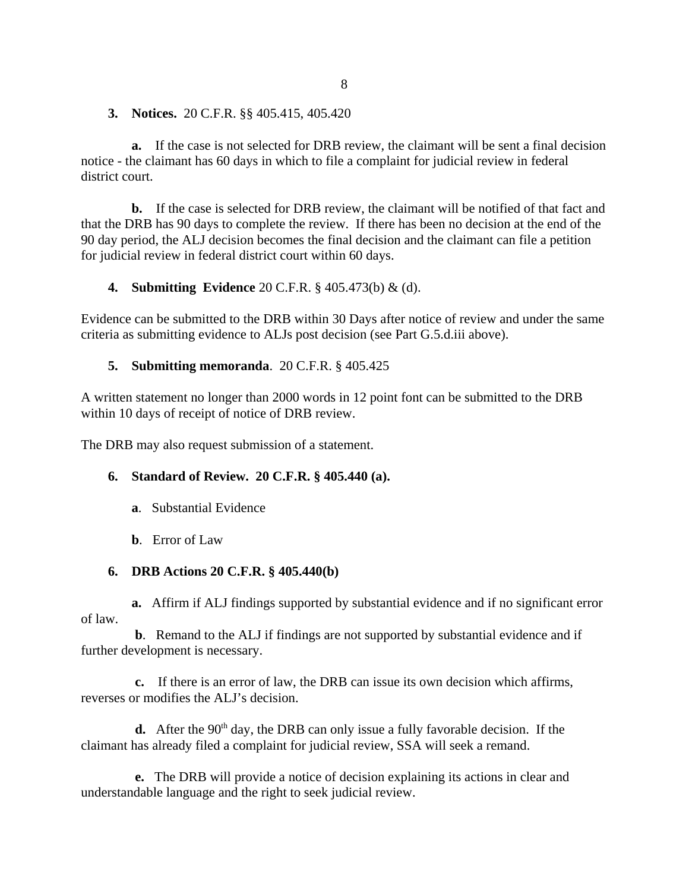**3. Notices.** 20 C.F.R. §§ 405.415, 405.420

**a.** If the case is not selected for DRB review, the claimant will be sent a final decision notice - the claimant has 60 days in which to file a complaint for judicial review in federal district court.

**b.** If the case is selected for DRB review, the claimant will be notified of that fact and that the DRB has 90 days to complete the review. If there has been no decision at the end of the 90 day period, the ALJ decision becomes the final decision and the claimant can file a petition for judicial review in federal district court within 60 days.

**4. Submitting Evidence** 20 C.F.R. § 405.473(b) & (d).

Evidence can be submitted to the DRB within 30 Days after notice of review and under the same criteria as submitting evidence to ALJs post decision (see Part G.5.d.iii above).

#### **5. Submitting memoranda**. 20 C.F.R. § 405.425

A written statement no longer than 2000 words in 12 point font can be submitted to the DRB within 10 days of receipt of notice of DRB review.

The DRB may also request submission of a statement.

#### **6. Standard of Review. 20 C.F.R. § 405.440 (a).**

- **a**. Substantial Evidence
- **b**. Error of Law

#### **6. DRB Actions 20 C.F.R. § 405.440(b)**

 **a.** Affirm if ALJ findings supported by substantial evidence and if no significant error of law.

 **b**. Remand to the ALJ if findings are not supported by substantial evidence and if further development is necessary.

 **c.** If there is an error of law, the DRB can issue its own decision which affirms, reverses or modifies the ALJ's decision.

**d.** After the 90<sup>th</sup> day, the DRB can only issue a fully favorable decision. If the claimant has already filed a complaint for judicial review, SSA will seek a remand.

**e.** The DRB will provide a notice of decision explaining its actions in clear and understandable language and the right to seek judicial review.